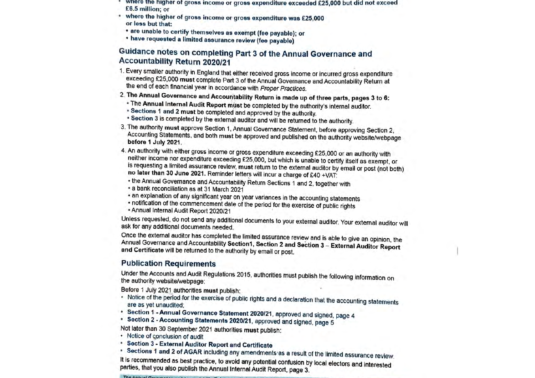- where the higher of gross income or gross expenditure exceeded £25,000 but did not exceed £6.5 million; or
- where the higher of gross income or gross expenditure was £25,000 or less but that:
	- · are unable to certify themselves as exempt (fee payable); or
	- · have requested a limited assurance review (fee payable)

# Guidance notes on completing Part 3 of the Annual Governance and Accountability Return 2020/21

- 1. Every smaller authority in England that either received gross income or incurred gross expenditure exceeding £25,000 must complete Part 3 of the Annual Governance and Accountability Return at the end of each financial year in accordance with Proper Practices.
- 2. The Annual Governance and Accountability Return is made up of three parts, pages 3 to 6:
	- . The Annual Internal Audit Report must be completed by the authority's internal auditor.
	- \* Sections 1 and 2 must be completed and approved by the authority.
	- \* Section 3 is completed by the external auditor and will be returned to the authority.
- 3. The authority must approve Section 1, Annual Governance Statement, before approving Section 2, Accounting Statements, and both must be approved and published on the authority website/webpage before 1 July 2021.
- 4. An authority with either gross income or gross expenditure exceeding £25,000 or an authority with neither income nor expenditure exceeding £25,000, but which is unable to certify itself as exempt, or is requesting a limited assurance review, must return to the external auditor by email or post (not both) no later than 30 June 2021. Reminder letters will incur a charge of £40 +VAT:
	- the Annual Governance and Accountability Return Sections 1 and 2, together with
	- \* a bank reconciliation as at 31 March 2021
	- an explanation of any significant year on year variances in the accounting statements
	- notification of the commencement date of the period for the exercise of public rights
	- Annual Internal Audit Report 2020/21

Unless requested, do not send any additional documents to your external auditor. Your external auditor will ask for any additional documents needed.

Once the external auditor has completed the limited assurance review and is able to give an opinion, the Annual Governance and Accountability Section1, Section 2 and Section 3 - External Auditor Report and Certificate will be returned to the authority by email or post.

# **Publication Requirements**

Under the Accounts and Audit Regulations 2015, authorities must publish the following information on the authority website/webpage:

Before 1 July 2021 authorities must publish:

- . Notice of the period for the exercise of public rights and a declaration that the accounting statements are as yet unaudited;
- Section 1 Annual Governance Statement 2020/21, approved and signed, page 4
- \* Section 2 Accounting Statements 2020/21, approved and signed, page 5

Not later than 30 September 2021 authorities must publish:

- Notice of conclusion of audit
- \* Section 3 External Auditor Report and Certificate
- Sections 1 and 2 of AGAR including any amendments as a result of the limited assurance review.

It is recommended as best practice, to avoid any potential confusion by local electors and interested parties, that you also publish the Annual Internal Audit Report, page 3.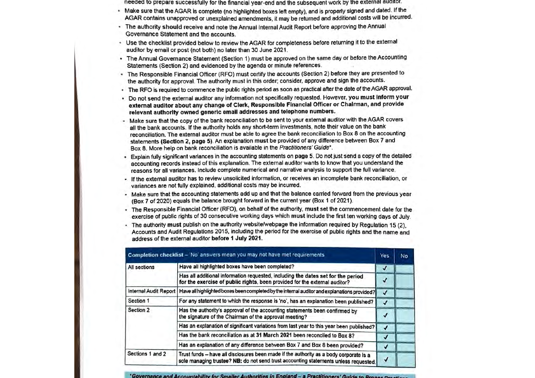- needed to prepare successfully for the financial year-end and the subsequent work by the external auditor.
- Make sure that the AGAR is complete (no highlighted boxes left empty), and is properly signed and dated. If the AGAR contains unapproved or unexplained amendments, it may be returned and additional costs will be incurred.
- \* The authority should receive and note the Annual Internal Audit Report before approving the Annual Governance Statement and the accounts.
- + Use the checklist provided below to review the AGAR for completeness before returning it to the external auditor by email or post (not both) no later than 30 June 2021.
- The Annual Governance Statement (Section 1) must be approved on the same day or before the Accounting Statements (Section 2) and evidenced by the agenda or minute references.
- The Responsible Financial Officer (RFO) must certify the accounts (Section 2) before they are presented to the authority for approval. The authority must in this order; consider, approve and sign the accounts.
- The RFO is required to commence the public rights period as soon as practical after the date of the AGAR approval.
- Do not send the external auditor any information not specifically requested. However, you must inform your external auditor about any change of Clerk, Responsible Financial Officer or Chairman, and provide relevant authority owned generic email addresses and telephone numbers.
- Make sure that the copy of the bank reconciliation to be sent to your external auditor with the AGAR covers all the bank accounts. If the authority holds any short-term investments, note their value on the bank reconciliation. The external auditor must be able to agree the bank reconciliation to Box 8 on the accounting statements (Section 2, page 5). An explanation must be provided of any difference between Box 7 and Box 8. More help on bank reconciliation is available in the Practitioners' Guide\*.
- + Explain fully significant variances in the accounting statements on page 5. Do not just send a copy of the detailed accounting records instead of this explanation. The external auditor wants to know that you understand the reasons for all variances. Include complete numerical and narrative analysis to support the full variance.
- If the external auditor has to review unsolicited information, or receives an incomplete bank reconciliation, or variances are not fully explained, additional costs may be incurred.
- Make sure that the accounting statements add up and that the balance carried forward from the previous year (Box 7 of 2020) equals the balance brought forward in the current year (Box 1 of 2021).
- The Responsible Financial Officer (RFO), on behalf of the authority, must set the commencement date for the exercise of public rights of 30 consecutive working days which must include the first ten working days of July
- · The authority must publish on the authority website/webpage the information required by Regulation 15 (2). Accounts and Audit Regulations 2015, including the period for the exercise of public rights and the name and address of the external auditor before 1 July 2021.

| Completion checklist - No' answers mean you may not have met requirements |                                                                                                                                                                                |              | No. |
|---------------------------------------------------------------------------|--------------------------------------------------------------------------------------------------------------------------------------------------------------------------------|--------------|-----|
| All sections                                                              | Have all highlighted boxes have been completed?                                                                                                                                |              |     |
|                                                                           | Has all additional information requested, including the dates set for the period<br>for the exercise of public rights, been provided for the external auditor?                 | √            |     |
| <b>Internal Audit Report</b>                                              | Have all highlighted boxes been completed by the internal auditor and explanations provided?                                                                                   | √            |     |
| Section 1                                                                 | For any statement to which the response is 'no', has an explanation been published?                                                                                            | J            |     |
| Section 2                                                                 | Has the authority's approval of the accounting statements been confirmed by<br>the signature of the Chairman of the approval meeting?                                          |              |     |
|                                                                           | Has an explanation of significant variations from last year to this year been published?                                                                                       | J            |     |
|                                                                           | Has the bank reconciliation as at 31 March 2021 been reconciled to Box 8?                                                                                                      |              |     |
|                                                                           | Has an explanation of any difference between Box 7 and Box 8 been provided?                                                                                                    | $\checkmark$ |     |
| Sections 1 and 2                                                          | Trust funds - have all disclosures been made if the authority as a body corporate is a<br>sole managing trustee? NB: do not send trust accounting statements unless requested. | √            |     |

'Governance and Accountability for Smaller Authorities in England - a Practitioners' Guide to Bronze O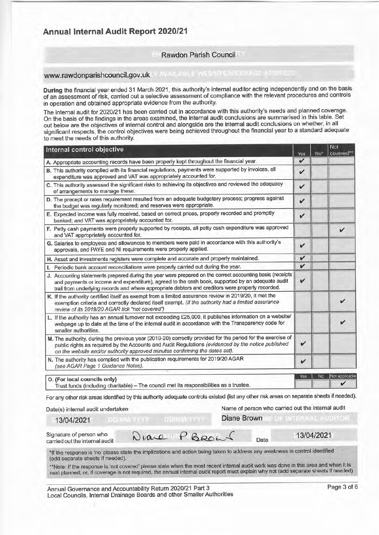# **Annual Internal Audit Report 2020/21**

#### Rawdon Parish Council

# WWW.rawdonparishcouncil.gov.uk in a war a website website with a transfer

During the financial year ended 31 March 2021, this authority's internal auditor acting independently and on the basis of an assessment of risk, carried out a selective assessment of compliance with the relevant procedures and controls in operation and obtained appropriate evidence from the authority.

The internal audit for 2020/21 has been carried out in accordance with this authority's needs and planned coverage. On the basis of the findings in the areas examined, the internal audit conclusions are summarised in this table. Set<br>out below are the objectives of internal control and alongside are the internal audit conclusions on whet significant respects, the control objectives were being achieved throughout the financial year to a standard adequate to meet the needs of this authority.

| Internal control objective                                                                                                                                                                                                                                                                                         | Yes          | $No*$ | Not<br>covered** |
|--------------------------------------------------------------------------------------------------------------------------------------------------------------------------------------------------------------------------------------------------------------------------------------------------------------------|--------------|-------|------------------|
| A. Appropriate accounting records have been properly kept throughout the financial year.                                                                                                                                                                                                                           | v            |       |                  |
| B. This authority complied with its financial regulations, payments were supported by invoices, all<br>expenditure was approved and VAT was appropriately accounted for.                                                                                                                                           | V            |       |                  |
| C. This authority assessed the significant risks to achieving its objectives and reviewed the adequacy<br>of arrangements to manage these.                                                                                                                                                                         | v            |       |                  |
| D. The precept or rates requirement resulted from an adequate budgetary process; progress against<br>the budget was regularly monitored; and reserves were appropriate.                                                                                                                                            | $\checkmark$ |       |                  |
| E. Expected income was fully received, based on correct prices, properly recorded and promptly<br>banked; and VAT was appropriately accounted for.                                                                                                                                                                 | v            |       |                  |
| F. Petty cash payments were properly supported by receipts, all petty cash expenditure was approved<br>and VAT appropriately accounted for.                                                                                                                                                                        |              |       |                  |
| G. Salaries to employees and allowances to members were paid in accordance with this authority's<br>approvals, and PAYE and NI requirements were properly applied.                                                                                                                                                 | V            |       |                  |
| H. Asset and investments registers were complete and accurate and properly maintained.                                                                                                                                                                                                                             | V            |       |                  |
| I. Periodic bank account reconciliations were properly carried out during the year.                                                                                                                                                                                                                                | V            |       |                  |
| J. Accounting statements prepared during the year were prepared on the correct accounting basis (receipts<br>and payments or income and expenditure), agreed to the cash book, supported by an adequate audit<br>trail from underlying records and where appropriate debtors and creditors were properly recorded. | v            |       |                  |
| K. If the authority certified itself as exempt from a limited assurance review in 2019/20, it met the<br>exemption criteria and correctly declared itself exempt. (If the authority had a limited assurance<br>review of its 2019/20 AGAR tick "not covered")                                                      |              |       |                  |
| L. If the authority has an annual turnover not exceeding £25,000, it publishes information on a website/<br>webpage up to date at the time of the internal audit in accordance with the Transparency code for<br>smaller authorities.                                                                              |              |       | V                |
| M. The authority, during the previous year (2019-20) correctly provided for the period for the exercise of<br>public rights as required by the Accounts and Audit Regulations (evidenced by the notice published<br>on the website and/or authority approved minutes confirming the dates set).                    | V            |       |                  |
| N. The authority has complied with the publication requirements for 2019/20 AGAR<br>(see AGAR Page 1 Guidance Notes).                                                                                                                                                                                              | V            |       |                  |
| O. (For local councils only)                                                                                                                                                                                                                                                                                       | Yes          | No    | Not applicable   |
| Trust funds (including charitable) - The council met its responsibilities as a trustee.                                                                                                                                                                                                                            |              |       |                  |

For any other risk areas identified by this authority adequate controls existed (list any other risk areas on separate sheets if needed).

#### Date(s) internal audit undertaken

Name of person who carried out the internal audit

#### 13/04/2021

**IF OF INTERNAL AUDITOR** 

Date

Diane Brown

Signature of person who carried out the internal audit

Diare PBROW

13/04/2021

|                                  | *If the response is 'no' please state the implications and action being taken to address any weakness in control identifieo |  |  |
|----------------------------------|-----------------------------------------------------------------------------------------------------------------------------|--|--|
| (add separate sheets if needed). |                                                                                                                             |  |  |

\*\*Note: If the response is 'not covered' please state when the most recent internal audit work was done in this area and when it is next planned; or, if coverage is not required, the annual internal audit report must explain why not (add separate sheets if needed).

Annual Governance and Accountability Return 2020/21 Part 3 Local Councils, Internal Drainage Boards and other Smaller Authorities

DOWN/YYYY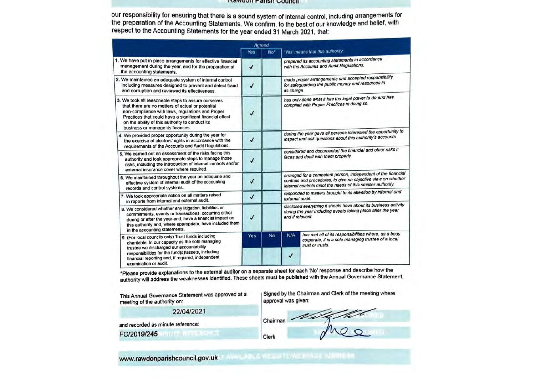#### **INGWUUT FAITSH COUNCIL**

our responsibility for ensuring that there is a sound system of internal control, including arrangements for the preparation of the Accounting Statements. We confirm, to the best of our knowledge and belief, with respect to the Accounting Statements for the year ended 31 March 2021, that:

|                                                                                                                                                                                                                                                                                                                | Agreed       |                 |                                                                                                                                                                                               |                                                                                                                                 |  |  |
|----------------------------------------------------------------------------------------------------------------------------------------------------------------------------------------------------------------------------------------------------------------------------------------------------------------|--------------|-----------------|-----------------------------------------------------------------------------------------------------------------------------------------------------------------------------------------------|---------------------------------------------------------------------------------------------------------------------------------|--|--|
|                                                                                                                                                                                                                                                                                                                | Yes          | No <sup>*</sup> |                                                                                                                                                                                               | 'Yes' means that this authority                                                                                                 |  |  |
| 1. We have put in place arrangements for effective financial<br>management during the year, and for the preparation of<br>the accounting statements.                                                                                                                                                           |              |                 |                                                                                                                                                                                               | prepared its accounting statements in accordance<br>with the Accounts and Audit Regulations.                                    |  |  |
| 2. We maintained an adequate system of internal control<br>including measures designed to prevent and detect fraud<br>and corruption and reviewed its effectiveness.                                                                                                                                           | $\checkmark$ |                 | made proper arrangements and accepted responsibility<br>for safeguarding the public money and resources in<br>its charge.                                                                     |                                                                                                                                 |  |  |
| 3. We took all reasonable steps to assure ourselves<br>that there are no matters of actual or potential<br>non-compliance with laws, regulations and Proper<br>Practices that could have a significant financial effect<br>on the ability of this authority to conduct its<br>business or manage its finances. | $\sqrt{2}$   |                 | has only done what it has the legal power to do and has<br>complied with Proper Practices in doing so.                                                                                        |                                                                                                                                 |  |  |
| 4. We provided proper opportunity during the year for<br>the exercise of electors' rights in accordance with the<br>requirements of the Accounts and Audit Regulations.                                                                                                                                        | $\checkmark$ |                 |                                                                                                                                                                                               | during the year gave all persons interested the opportunity to<br>inspect and ask questions about this authority's accounts.    |  |  |
| 5. We carried out an assessment of the risks facing this<br>authority and took appropriate steps to manage those<br>risks, including the introduction of internal controls and/or<br>external insurance cover where required                                                                                   | $\checkmark$ |                 | considered and documented the financial and other risks it<br>faces and dealt with them properly.                                                                                             |                                                                                                                                 |  |  |
| 6. We maintained throughout the year an adequate and<br>effective system of internal audit of the accounting<br>records and control systems.                                                                                                                                                                   | $\checkmark$ |                 | arranged for a competent person, independent of the financial<br>controls and procedures, to give an objective view on whether<br>internal controls meet the needs of this smaller authority. |                                                                                                                                 |  |  |
| 7. We took appropriate action on all matters raised<br>in reports from internal and external audit.                                                                                                                                                                                                            | $\checkmark$ |                 | responded to matters brought to its attention by internal and<br>external audit                                                                                                               |                                                                                                                                 |  |  |
| 8. We considered whether any litigation, liabilities or<br>commitments, events or transactions, occurring either<br>during or after the year-end, have a financial impact on<br>this authority and, where appropriate, have included them<br>in the accounting statements.                                     | √            |                 | disclosed everything it should have about its business activity<br>during the year including events taking place after the year<br>end if relevant.                                           |                                                                                                                                 |  |  |
| 9. (For local councils only) Trust funds including<br>charitable. In our capacity as the sole managing<br>trustee we discharged our accountability                                                                                                                                                             | Yes          | No              | N/A                                                                                                                                                                                           | has met all of its responsibilities where, as a body<br>corporate, it is a sole managing trustee of a local<br>trust or trusts. |  |  |
| responsibilities for the fund(s)/assets, including<br>financial reporting and, if required, independent<br>examination or audit.                                                                                                                                                                               |              |                 | √                                                                                                                                                                                             |                                                                                                                                 |  |  |

\*Please provide explanations to the external auditor on a separate sheet for each 'No' response and describe how the authority will address the weaknesses identified. These sheets must be published with the Annual Governance Statement.

Clerk

This Annual Governance Statement was approved at a meeting of the authority on:

#### 22/04/2021

and recorded as minute reference:

FC/2019/245

Signed by the Chairman and Clerk of the meeting where approval was given:

Chairman

**WALARLE WESPTE WEBMITE ADDRESS** www.rawdonparishcouncil.gov.uk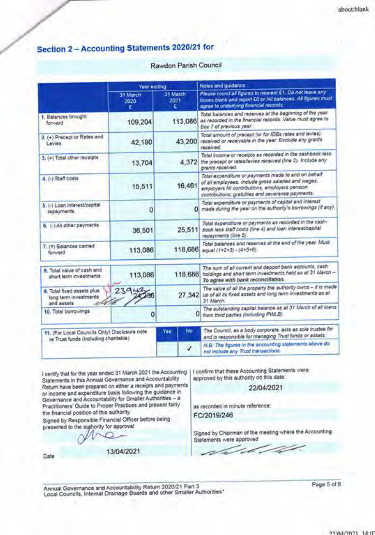### Section 2 - Accounting Statements 2020/21 for

#### Rawdon Parish Council

|                                                                                        | Year ending      |                  | Notes and guidance                                                                                                                                                                                               |  |  |
|----------------------------------------------------------------------------------------|------------------|------------------|------------------------------------------------------------------------------------------------------------------------------------------------------------------------------------------------------------------|--|--|
|                                                                                        | 31 March<br>2020 | 31 March<br>2021 | Please round all figures to nearest £1. Do not leave any<br>boxes blank and report £0 or Nil balances. All figures must<br>agree to underlying financial records.                                                |  |  |
| 1. Balances brought<br>forward                                                         | 109,204          | 113,086          | Total balances and reserves at the beginning of the year<br>as recorded in the financial records. Value must agree to<br>Box 7 of previous year.                                                                 |  |  |
| 2. (+) Precept or Rates and<br>Levies                                                  | 42.190           | 43,200           | Total amount of precept (or for IDBs rates and levies)<br>received or receivable in the year. Exclude any grants<br>received.                                                                                    |  |  |
| 3. (+) Total other receipts                                                            | 13,704           | 4.372            | Total income or receipts as recorded in the cashbook less<br>the precept or rates/levies received (line 2). Include eny-<br>grants received.                                                                     |  |  |
| 4. (-) Staff costs                                                                     | 15,511           | 16,461           | Total expenditure or payments made to and on behalf<br>of all employees, include gross salaries and wages,<br>employers NI contributions, employers pension<br>contributions, gratuities and severance payments. |  |  |
| 5. (-) Loan interest/capital<br>repayments                                             | 0                |                  | Total expenditure or payments of capital and interest<br>D) made during the year on the authority's borrowings (if any).                                                                                         |  |  |
| 6. (-) All other payments                                                              | 36,501           | 25,511           | Total expenditure or payments as recorded in the cash-<br>book less staff costs (line 4) and loan interest/capital<br>repayments (line 5).                                                                       |  |  |
| 7. (#) Balances carried<br>forward                                                     | 113,086          | 118,686          | Total balances and reserves at the end of the year. Must<br>equal (1+2+3) - (4+5+6).                                                                                                                             |  |  |
| 8. Total value of cash and<br>short term investments                                   | 113,086          | 118,686          | The sum of all current and deposit bank accounts, cash<br>holdings and short term investments held as at 31 March -<br>To agree with bank reconciliation.                                                        |  |  |
| 9. Total fored assets plus<br>long term investments<br>and assets                      | 23942            | 27,342           | The value of all the property the authority owns - it is made<br>up of all its fixed assets and long term investments as at<br>31 March.                                                                         |  |  |
| 10. Total borrowings.                                                                  | 0                |                  | The outstanding capital balance as at 31 March of all loans<br>D) from third parties (including PWLB)                                                                                                            |  |  |
| 11. (For Local Councils Only) Disclosure note<br>re Trust funds (including charitable) |                  | No.<br>Yes:      | The Council, as a body corporate, acts as sole trustee for<br>and is responsible for managing Trust funds or assets.                                                                                             |  |  |
|                                                                                        |                  | J                | N.B. The figures in the accounting statements above do.<br>not include any Trust transactions.                                                                                                                   |  |  |

I certify that for the year ended 31 March 2021 the Accounting Statements in this Annual Governance and Accountability Return have been prepared on either a receipts and payments or income and expenditure basis following the guidance in<br>Governance and Accountability for Smaller Authorities - a Practitioners' Guide to Proper Practices and present fairly the financial position of this authority.

Signed by Responsible Financial Officer before being presented to the authority for approval

Date

13/04/2021

I confirm that these Accounting Statements were approved by this authority on this date

22/04/2021

as recorded in minute reference: FC/2019/246

Signed by Chairman of the meeting where the Accounting Statements were approved

Annual Governance and Accountability Return 2020/21 Part 3<br>Local Councits, Internal Drainage Boards and other Smaller Authorities\*

Page 5 of 6